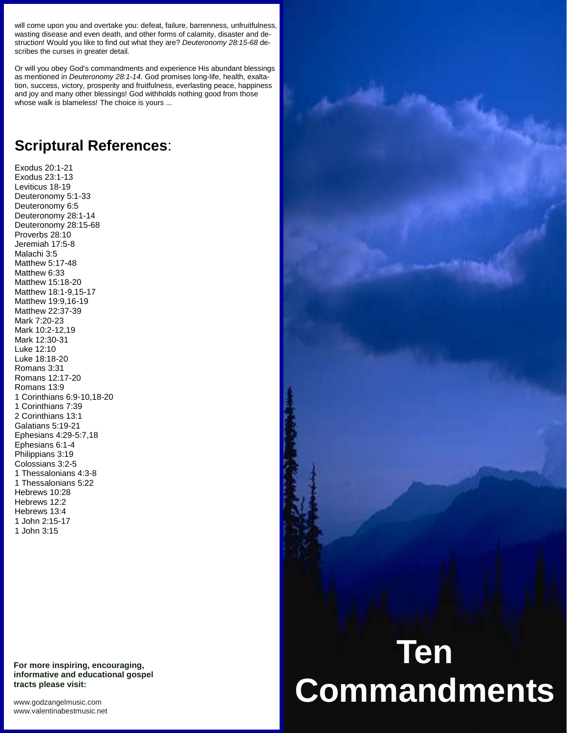will come upon you and overtake you: defeat, failure, barrenness, unfruitfulness, wasting disease and even death, and other forms of calamity, disaster and de struction! Would you like to find out what they are? *Deuteronomy 28:15-68* de scribes the curses in greater detail.

Or will you obey God's commandments and experience His abundant blessings as mentioned in *Deuteronomy 28:1-14*. God promises long-life, health, exaltation, success, victory, prosperity and fruitfulness, everlasting peace, happiness and joy and many other blessings! God withholds nothing good from those whose walk is blameless! The choice is yours ...

## **Scriptural References**:

Exodus 20:1-21 Exodus 23:1-13 Leviticus 18-19 Deuteronomy 5:1-33 Deuteronomy 6:5 Deuteronomy 28:1-14 Deuteronomy 28:15-68 Proverbs 28:10 Jeremiah 17:5-8 Malachi 3:5 Matthew 5:17-48 Matthew 6:33 Matthew 15:18-20 Matthew 18:1-9,15-17 Matthew 19:9,16-19 Matthew 22:37-39 Mark 7:20-23 Mark 10:2-12,19 Mark 12:30-31 Luke 12:10 Luke 18:18-20 Romans 3:31 Romans 12:17-20 Romans 13:9 1 Corinthians 6:9-10,18-20 1 Corinthians 7:39 2 Corinthians 13:1 Galatians 5:19-21 Ephesians 4:29-5:7,18 Ephesians 6:1-4 Philippians 3:19 Colossians 3:2-5 1 Thessalonians 4:3-8 1 Thessalonians 5:22 Hebrews 10:28 Hebrews 12:2 Hebrews 13:4 1 John 2:15-17 1 John 3:15

**For more inspiring, encouraging, informative and educational gospel tracts please visit:**

<www.godzangelmusic.com> <www.valentinabestmusic.net>